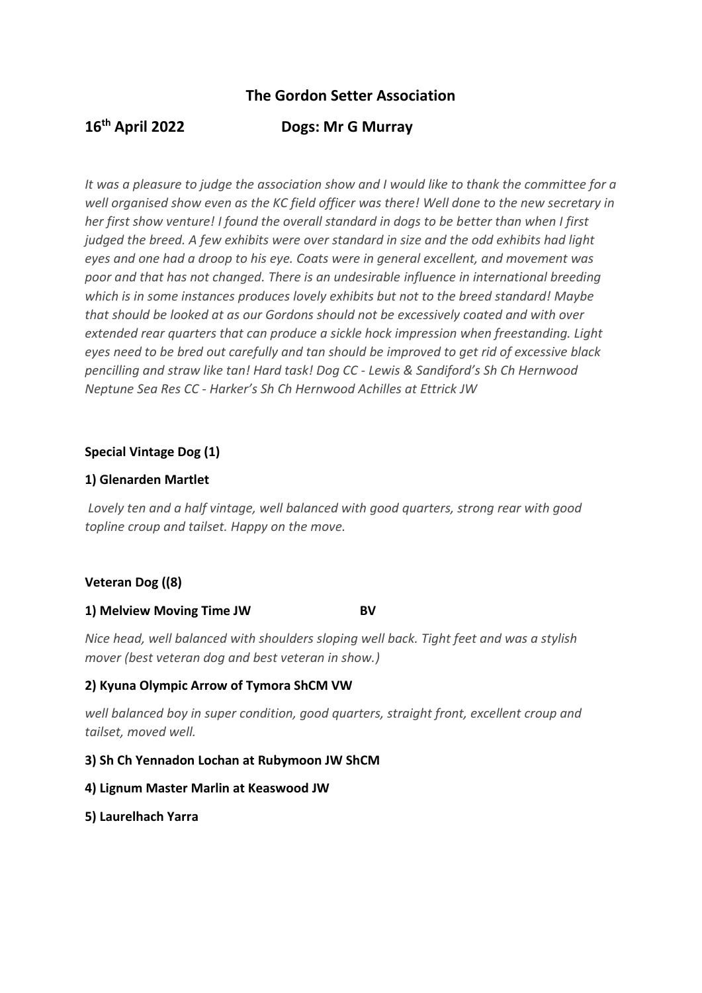## **The Gordon Setter Association**

# **16th April 2022 Dogs: Mr G Murray**

*It was a pleasure to judge the association show and I would like to thank the committee for a well organised show even as the KC field officer was there! Well done to the new secretary in her first show venture! I found the overall standard in dogs to be better than when I first judged the breed. A few exhibits were over standard in size and the odd exhibits had light eyes and one had a droop to his eye. Coats were in general excellent, and movement was poor and that has not changed. There is an undesirable influence in international breeding which is in some instances produces lovely exhibits but not to the breed standard! Maybe that should be looked at as our Gordons should not be excessively coated and with over extended rear quarters that can produce a sickle hock impression when freestanding. Light eyes need to be bred out carefully and tan should be improved to get rid of excessive black pencilling and straw like tan! Hard task! Dog CC - Lewis & Sandiford's Sh Ch Hernwood Neptune Sea Res CC - Harker's Sh Ch Hernwood Achilles at Ettrick JW*

#### **Special Vintage Dog (1)**

### **1) Glenarden Martlet**

*Lovely ten and a half vintage, well balanced with good quarters, strong rear with good topline croup and tailset. Happy on the move.*

## **Veteran Dog ((8)**

#### **1) Melview Moving Time JW BV**

*Nice head, well balanced with shoulders sloping well back. Tight feet and was a stylish mover (best veteran dog and best veteran in show.)*

## **2) Kyuna Olympic Arrow of Tymora ShCM VW**

*well balanced boy in super condition, good quarters, straight front, excellent croup and tailset, moved well.*

#### **3) Sh Ch Yennadon Lochan at Rubymoon JW ShCM**

#### **4) Lignum Master Marlin at Keaswood JW**

#### **5) Laurelhach Yarra**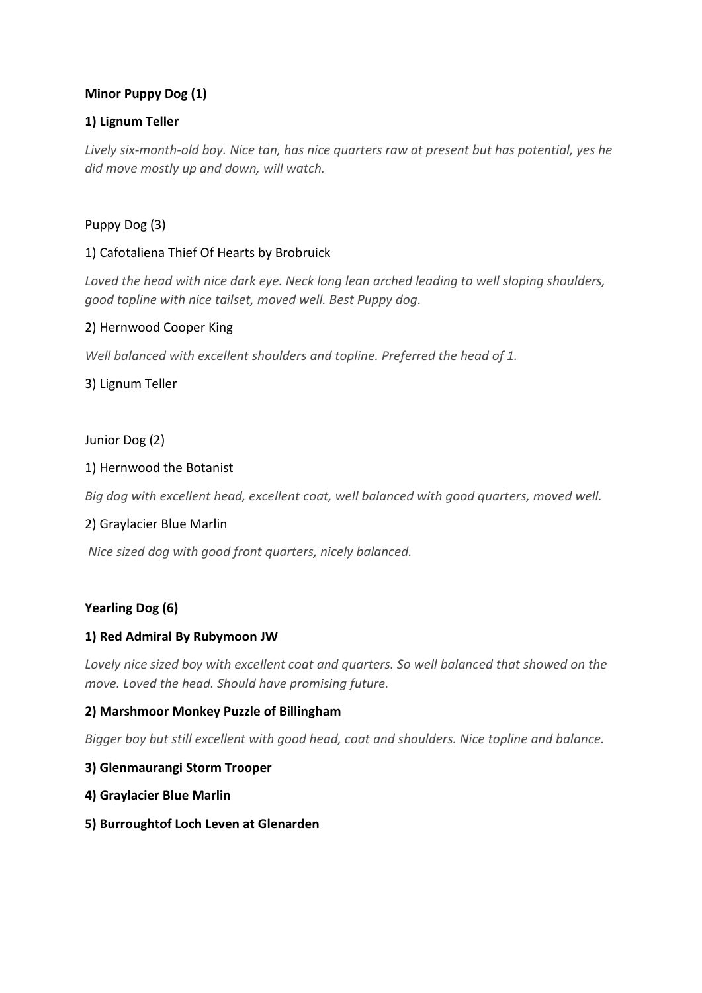## **Minor Puppy Dog (1)**

## **1) Lignum Teller**

*Lively six-month-old boy. Nice tan, has nice quarters raw at present but has potential, yes he did move mostly up and down, will watch.* 

## Puppy Dog (3)

## 1) Cafotaliena Thief Of Hearts by Brobruick

*Loved the head with nice dark eye. Neck long lean arched leading to well sloping shoulders, good topline with nice tailset, moved well. Best Puppy dog.*

## 2) Hernwood Cooper King

*Well balanced with excellent shoulders and topline. Preferred the head of 1.*

3) Lignum Teller

### Junior Dog (2)

### 1) Hernwood the Botanist

*Big dog with excellent head, excellent coat, well balanced with good quarters, moved well.*

#### 2) Graylacier Blue Marlin

*Nice sized dog with good front quarters, nicely balanced.* 

## **Yearling Dog (6)**

## **1) Red Admiral By Rubymoon JW**

*Lovely nice sized boy with excellent coat and quarters. So well balanced that showed on the move. Loved the head. Should have promising future.*

## **2) Marshmoor Monkey Puzzle of Billingham**

*Bigger boy but still excellent with good head, coat and shoulders. Nice topline and balance.*

#### **3) Glenmaurangi Storm Trooper**

- **4) Graylacier Blue Marlin**
- **5) Burroughtof Loch Leven at Glenarden**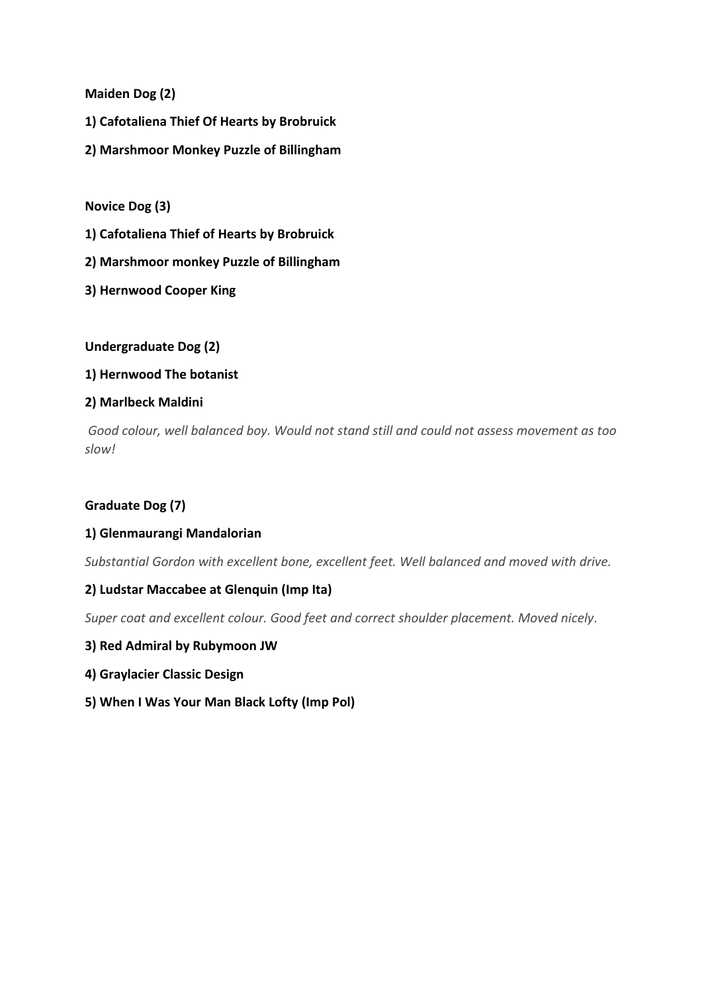**Maiden Dog (2)**

- **1) Cafotaliena Thief Of Hearts by Brobruick**
- **2) Marshmoor Monkey Puzzle of Billingham**

**Novice Dog (3)**

- **1) Cafotaliena Thief of Hearts by Brobruick**
- **2) Marshmoor monkey Puzzle of Billingham**
- **3) Hernwood Cooper King**

**Undergraduate Dog (2)**

#### **1) Hernwood The botanist**

#### **2) Marlbeck Maldini**

*Good colour, well balanced boy. Would not stand still and could not assess movement as too slow!* 

#### **Graduate Dog (7)**

#### **1) Glenmaurangi Mandalorian**

*Substantial Gordon with excellent bone, excellent feet. Well balanced and moved with drive.*

#### **2) Ludstar Maccabee at Glenquin (Imp Ita)**

*Super coat and excellent colour. Good feet and correct shoulder placement. Moved nicely.*

- **3) Red Admiral by Rubymoon JW**
- **4) Graylacier Classic Design**
- **5) When I Was Your Man Black Lofty (Imp Pol)**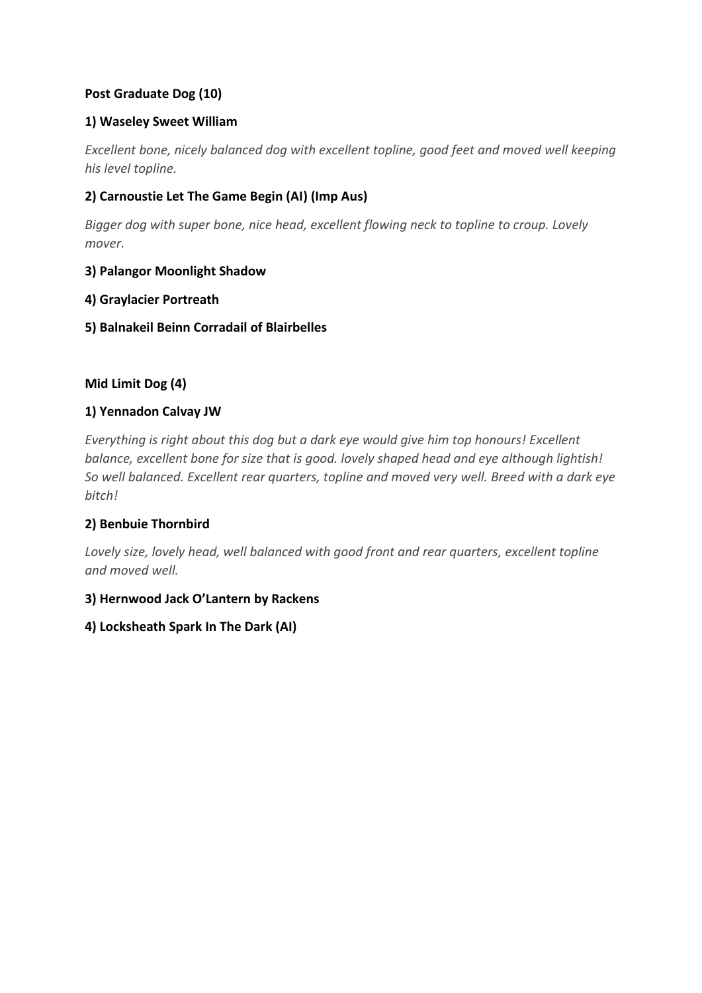## **Post Graduate Dog (10)**

## **1) Waseley Sweet William**

*Excellent bone, nicely balanced dog with excellent topline, good feet and moved well keeping his level topline.*

## **2) Carnoustie Let The Game Begin (AI) (Imp Aus)**

*Bigger dog with super bone, nice head, excellent flowing neck to topline to croup. Lovely mover.* 

## **3) Palangor Moonlight Shadow**

### **4) Graylacier Portreath**

## **5) Balnakeil Beinn Corradail of Blairbelles**

## **Mid Limit Dog (4)**

### **1) Yennadon Calvay JW**

*Everything is right about this dog but a dark eye would give him top honours! Excellent balance, excellent bone for size that is good. lovely shaped head and eye although lightish! So well balanced. Excellent rear quarters, topline and moved very well. Breed with a dark eye bitch!* 

## **2) Benbuie Thornbird**

*Lovely size, lovely head, well balanced with good front and rear quarters, excellent topline and moved well.*

## **3) Hernwood Jack O'Lantern by Rackens**

## **4) Locksheath Spark In The Dark (AI)**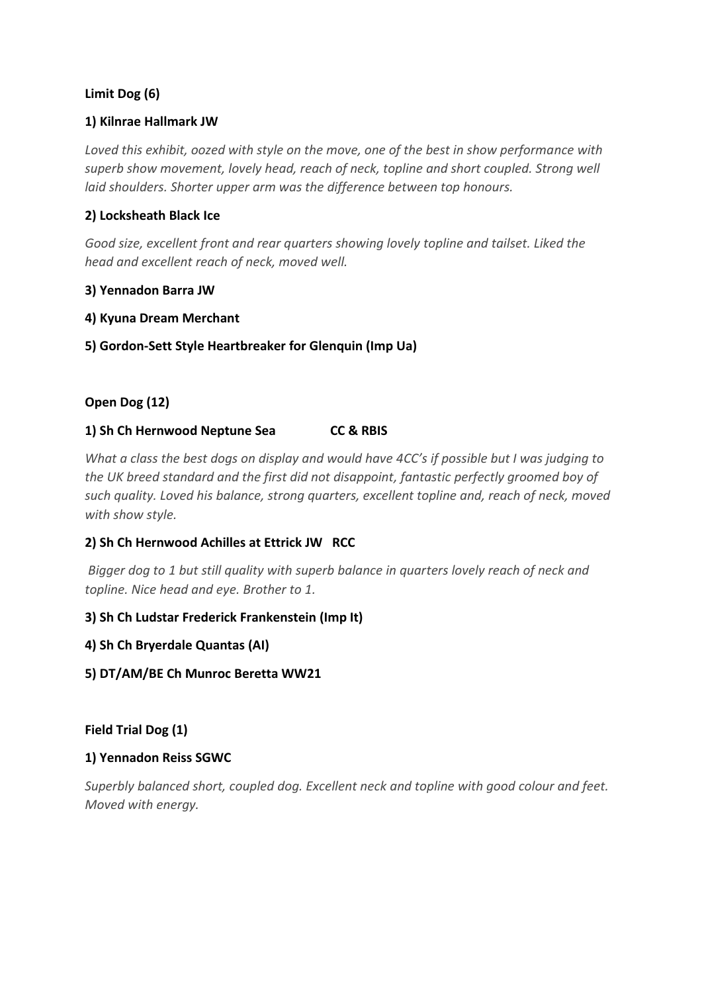## **Limit Dog (6)**

### **1) Kilnrae Hallmark JW**

*Loved this exhibit, oozed with style on the move, one of the best in show performance with superb show movement, lovely head, reach of neck, topline and short coupled. Strong well laid shoulders. Shorter upper arm was the difference between top honours.* 

## **2) Locksheath Black Ice**

*Good size, excellent front and rear quarters showing lovely topline and tailset. Liked the head and excellent reach of neck, moved well.* 

### **3) Yennadon Barra JW**

### **4) Kyuna Dream Merchant**

### **5) Gordon-Sett Style Heartbreaker for Glenquin (Imp Ua)**

### **Open Dog (12)**

#### **1) Sh Ch Hernwood Neptune Sea CC & RBIS**

*What a class the best dogs on display and would have 4CC's if possible but I was judging to the UK breed standard and the first did not disappoint, fantastic perfectly groomed boy of such quality. Loved his balance, strong quarters, excellent topline and, reach of neck, moved with show style.*

#### **2) Sh Ch Hernwood Achilles at Ettrick JW RCC**

*Bigger dog to 1 but still quality with superb balance in quarters lovely reach of neck and topline. Nice head and eye. Brother to 1.*

#### **3) Sh Ch Ludstar Frederick Frankenstein (Imp It)**

- **4) Sh Ch Bryerdale Quantas (AI)**
- **5) DT/AM/BE Ch Munroc Beretta WW21**

## **Field Trial Dog (1)**

#### **1) Yennadon Reiss SGWC**

*Superbly balanced short, coupled dog. Excellent neck and topline with good colour and feet. Moved with energy.*